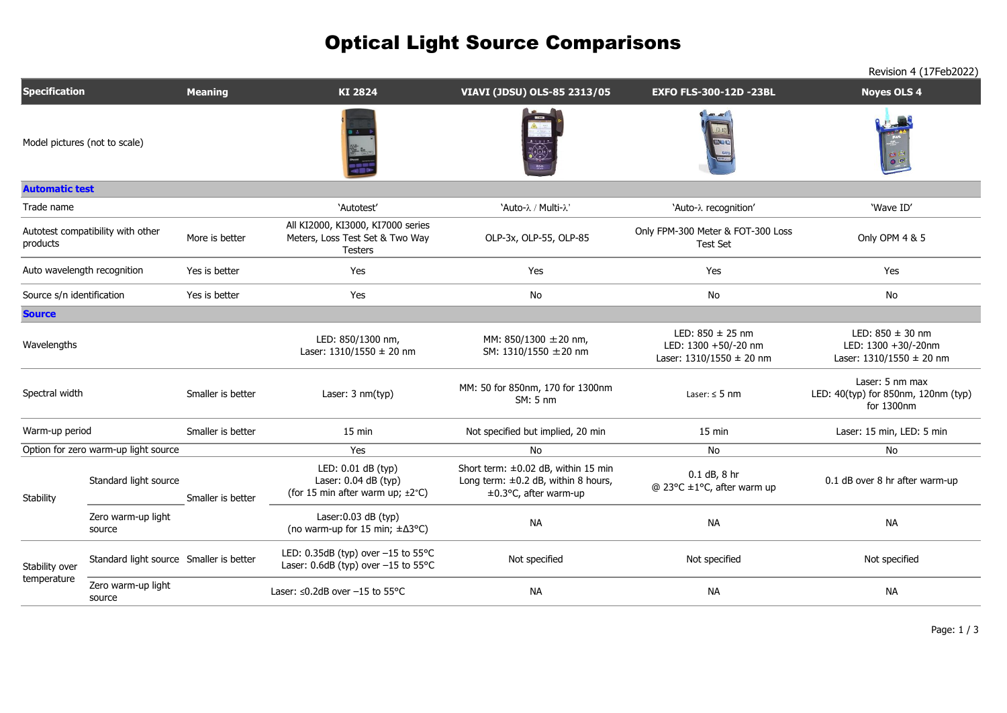|                                               |                                         |                   |                                                                                                       |                                                                                                          |                                                                              | Revision 4 (17Feb2022)                                                      |
|-----------------------------------------------|-----------------------------------------|-------------------|-------------------------------------------------------------------------------------------------------|----------------------------------------------------------------------------------------------------------|------------------------------------------------------------------------------|-----------------------------------------------------------------------------|
| <b>Specification</b>                          |                                         | <b>Meaning</b>    | KI 2824                                                                                               | VIAVI (JDSU) OLS-85 2313/05                                                                              | <b>EXFO FLS-300-12D -23BL</b>                                                | <b>Noyes OLS 4</b>                                                          |
| Model pictures (not to scale)                 |                                         |                   |                                                                                                       |                                                                                                          |                                                                              |                                                                             |
| <b>Automatic test</b>                         |                                         |                   |                                                                                                       |                                                                                                          |                                                                              |                                                                             |
| Trade name                                    |                                         |                   | 'Autotest'                                                                                            | 'Auto-λ / Multi-λ'                                                                                       | 'Auto-λ recognition'                                                         | 'Wave ID'                                                                   |
| Autotest compatibility with other<br>products |                                         | More is better    | All KI2000, KI3000, KI7000 series<br>Meters, Loss Test Set & Two Way<br><b>Testers</b>                | OLP-3x, OLP-55, OLP-85                                                                                   | Only FPM-300 Meter & FOT-300 Loss<br><b>Test Set</b>                         | Only OPM 4 & 5                                                              |
| Auto wavelength recognition                   |                                         | Yes is better     | Yes                                                                                                   | Yes                                                                                                      | Yes                                                                          | Yes                                                                         |
| Source s/n identification                     |                                         | Yes is better     | Yes                                                                                                   | No                                                                                                       | No                                                                           | No                                                                          |
| <b>Source</b>                                 |                                         |                   |                                                                                                       |                                                                                                          |                                                                              |                                                                             |
| Wavelengths                                   |                                         |                   | LED: 850/1300 nm,<br>Laser: $1310/1550 \pm 20$ nm                                                     | MM: 850/1300 ±20 nm,<br>SM: 1310/1550 ± 20 nm                                                            | LED: $850 \pm 25$ nm<br>LED: 1300 +50/-20 nm<br>Laser: $1310/1550 \pm 20$ nm | LED: $850 \pm 30$ nm<br>LED: 1300 +30/-20nm<br>Laser: $1310/1550 \pm 20$ nm |
| Spectral width                                |                                         | Smaller is better | Laser: 3 nm(typ)                                                                                      | MM: 50 for 850nm, 170 for 1300nm<br>$SM: 5 \text{ nm}$                                                   | Laser: $\leq$ 5 nm                                                           | Laser: 5 nm max<br>LED: 40(typ) for 850nm, 120nm (typ)<br>for 1300nm        |
| Warm-up period                                |                                         | Smaller is better | 15 min                                                                                                | Not specified but implied, 20 min                                                                        | 15 min                                                                       | Laser: 15 min, LED: 5 min                                                   |
| Option for zero warm-up light source          |                                         |                   | Yes                                                                                                   | No                                                                                                       | No                                                                           | No                                                                          |
| Stability                                     | Standard light source                   | Smaller is better | LED: 0.01 dB (typ)<br>Laser: $0.04$ dB (typ)<br>(for 15 min after warm up; $\pm 2^{\circ}$ C)         | Short term: ±0.02 dB, within 15 min<br>Long term: $\pm 0.2$ dB, within 8 hours,<br>±0.3°C, after warm-up | 0.1 dB, 8 hr<br>$@$ 23°C $\pm$ 1°C, after warm up                            | 0.1 dB over 8 hr after warm-up                                              |
|                                               | Zero warm-up light<br>source            |                   | Laser: $0.03$ dB (typ)<br>(no warm-up for 15 min; $\pm \Delta 3^{\circ}C$ )                           | <b>NA</b>                                                                                                | <b>NA</b>                                                                    | <b>NA</b>                                                                   |
| Stability over<br>temperature                 | Standard light source Smaller is better |                   | LED: $0.35dB$ (typ) over $-15$ to $55^{\circ}$ C<br>Laser: $0.6dB$ (typ) over $-15$ to $55^{\circ}$ C | Not specified                                                                                            | Not specified                                                                | Not specified                                                               |
|                                               | Zero warm-up light<br>source            |                   | Laser: ≤0.2dB over -15 to 55°C                                                                        | <b>NA</b>                                                                                                | <b>NA</b>                                                                    | <b>NA</b>                                                                   |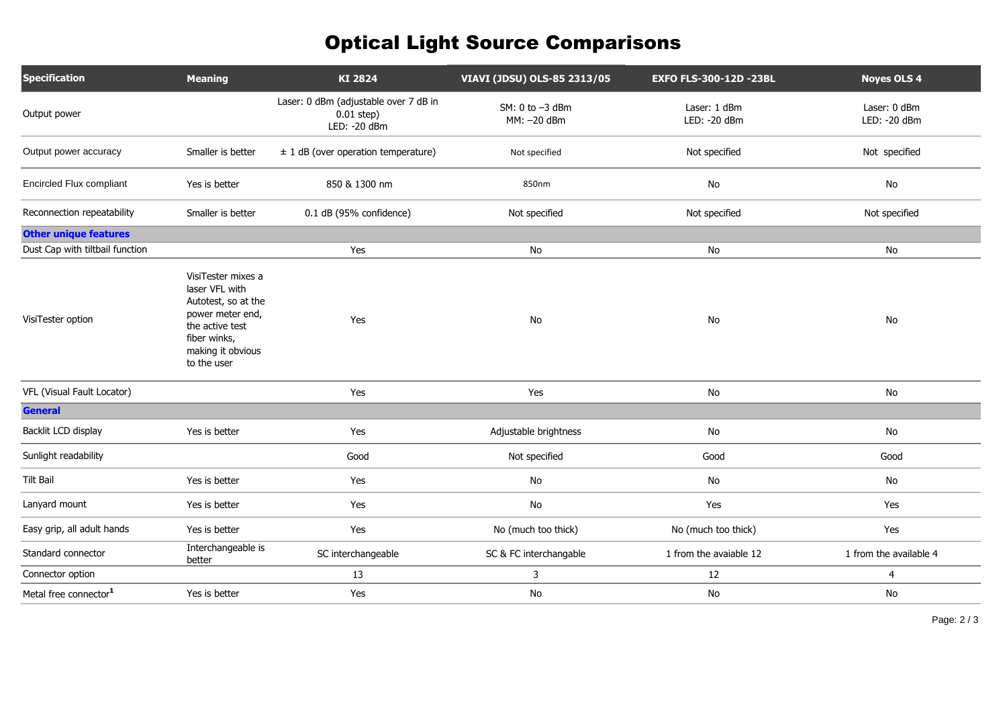| <b>Specification</b>              | <b>Meaning</b>                                                                                                                                         | KI 2824                                                                | VIAVI (JDSU) OLS-85 2313/05     | <b>EXFO FLS-300-12D -23BL</b> | <b>Noyes OLS 4</b>            |
|-----------------------------------|--------------------------------------------------------------------------------------------------------------------------------------------------------|------------------------------------------------------------------------|---------------------------------|-------------------------------|-------------------------------|
| Output power                      |                                                                                                                                                        | Laser: 0 dBm (adjustable over 7 dB in<br>$0.01$ step)<br>LED: - 20 dBm | SM: 0 to -3 dBm<br>MM: - 20 dBm | Laser: 1 dBm<br>LED: - 20 dBm | Laser: 0 dBm<br>LED: - 20 dBm |
| Output power accuracy             | Smaller is better                                                                                                                                      | $± 1$ dB (over operation temperature)                                  | Not specified                   | Not specified                 | Not specified                 |
| <b>Encircled Flux compliant</b>   | Yes is better                                                                                                                                          | 850 & 1300 nm                                                          | 850nm                           | No                            | No                            |
| Reconnection repeatability        | Smaller is better                                                                                                                                      | 0.1 dB (95% confidence)                                                | Not specified                   | Not specified                 | Not specified                 |
| <b>Other unique features</b>      |                                                                                                                                                        |                                                                        |                                 |                               |                               |
| Dust Cap with tiltbail function   |                                                                                                                                                        | Yes                                                                    | No                              | No                            | No                            |
| VisiTester option                 | VisiTester mixes a<br>laser VFL with<br>Autotest, so at the<br>power meter end,<br>the active test<br>fiber winks,<br>making it obvious<br>to the user | Yes                                                                    | No                              | No                            | No                            |
| VFL (Visual Fault Locator)        |                                                                                                                                                        | Yes                                                                    | Yes                             | No                            | No                            |
| <b>General</b>                    |                                                                                                                                                        |                                                                        |                                 |                               |                               |
| Backlit LCD display               | Yes is better                                                                                                                                          | Yes                                                                    | Adjustable brightness           | $\mathsf{No}$                 | No                            |
| Sunlight readability              |                                                                                                                                                        | Good                                                                   | Not specified                   | Good                          | Good                          |
| <b>Tilt Bail</b>                  | Yes is better                                                                                                                                          | Yes                                                                    | No                              | No                            | No                            |
| Lanyard mount                     | Yes is better                                                                                                                                          | Yes                                                                    | No                              | Yes                           | Yes                           |
| Easy grip, all adult hands        | Yes is better                                                                                                                                          | Yes                                                                    | No (much too thick)             | No (much too thick)           | Yes                           |
| Standard connector                | Interchangeable is<br>better                                                                                                                           | SC interchangeable                                                     | SC & FC interchangable          | 1 from the avaiable 12        | 1 from the available 4        |
| Connector option                  |                                                                                                                                                        | 13                                                                     | 3                               | 12                            | $\overline{4}$                |
| Metal free connector <sup>1</sup> | Yes is better                                                                                                                                          | Yes                                                                    | No                              | No                            | No                            |